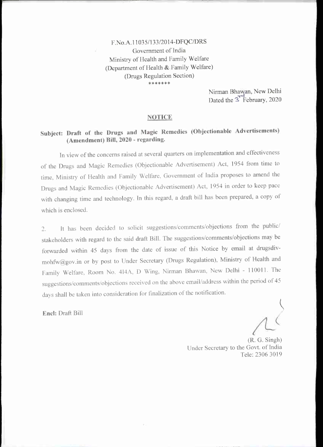F.No. A. 11035/133/2014-DFQC/DRS Government of India Ministry of Health and Family Welfare (Department of Health & Family Welfare) (Drugs Regulation Section) \*\*\*\*\*\*\*

> Nirman Bhawan, New Delhi Dated the <sup>3</sup> February, 2020

#### NOTICE

## Subject: Draft of the Drugs and Magic Remedies (Objectionable Advertisements) (Amendment) Bill, 2020 - regarding.

In view of the concerns raised at several quarters on implementation and effectiveness of the Drugs and Magic Remedies (Objectionable Advertisement) Act, 1954 from time to time, Ministry of Health and Family Welfare, Government of India proposes to amend the Drugs and Magic Remedies (Objectionable Advertisement) Act, 1954 in order to keep pace with changing time and technology. In this regard, a draft bill has been prepared, a copy of which is enclosed.

2. It has been decided to solicit suggestions/eomments/objections trom the public/ stakeholders with regard to the said draft Bill. The suggestions/eomments/objeetions may be forwarded within 45 days from the date of issue of this Notice by email at drugsdivmohfw@gov.in or by post to Under Secretary (Drugs Regulation), Ministry of Health and Family Welfare, Room No. 414A, D Wing, Nirman Bhawan, New Delhi - 110011. The suggestions/comments/objections received on the above email/address within the period of 45 days shall be taken into consideration for fmalization of the notification.

End: Draft Bill

(R. G. Singh) Under Secretary to the Govt. of India Tele: 2306 3019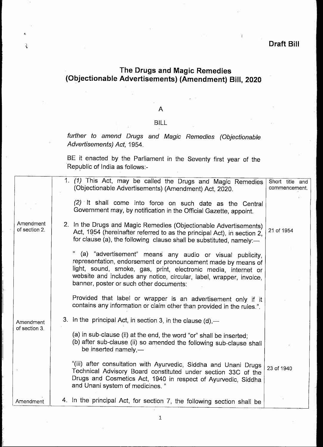## Draft Bill

# The Drugs and Magic Remedies (Objectionable Advertisements) (Amendment) Bill, 2020

į.

### A

### BILL

further to amend Drugs and Magic Remedies (Objectionable Advertisements) Act, 1954.

BE it enacted by the Parliament in the Seventy first year of the Republic of India as follows:-

|                            | 1. (1) This Act, may be called the Drugs and Magic Remedies<br>(Objectionable Advertisements) (Amendment) Act, 2020.                                                                                                                                                                                          | Short title and<br>commencement. |
|----------------------------|---------------------------------------------------------------------------------------------------------------------------------------------------------------------------------------------------------------------------------------------------------------------------------------------------------------|----------------------------------|
|                            | (2) It shall come into force on such date as the Central<br>Government may, by notification in the Official Gazette, appoint.                                                                                                                                                                                 |                                  |
| Amendment<br>of section 2. | 2. In the Drugs and Magic Remedies (Objectionable Advertisements)<br>Act, 1954 (hereinafter referred to as the principal Act), in section 2,<br>for clause (a), the following clause shall be substituted, namely:-                                                                                           | 21 of 1954                       |
|                            | (a) "advertisement" means any audio or visual publicity,<br>representation, endorsement or pronouncement made by means of<br>light, sound, smoke, gas, print, electronic media, internet or<br>website and includes any notice, circular, label, wrapper, invoice,<br>banner, poster or such other documents: |                                  |
|                            | Provided that label or wrapper is an advertisement only if it<br>contains any information or claim other than provided in the rules.".                                                                                                                                                                        |                                  |
| Amendment<br>of section 3. | 3. In the principal Act, in section 3, in the clause $(d)$ ,—                                                                                                                                                                                                                                                 |                                  |
|                            | (a) in sub-clause (ii) at the end, the word "or" shall be inserted;<br>(b) after sub-clause (ii) so amended the following sub-clause shall<br>be inserted namely, $-$                                                                                                                                         |                                  |
|                            | "(iii) after consultation with Ayurvedic, Siddha and Unani Drugs<br>Technical Advisory Board constituted under section 33C of the<br>Drugs and Cosmetics Act, 1940 in respect of Ayurvedic, Siddha<br>and Unani system of medicines."                                                                         | 23 of 1940                       |
| Amendment                  | 4. In the principal Act, for section 7, the following section shall be                                                                                                                                                                                                                                        |                                  |

 $\ensuremath{\mathbbm{1}}$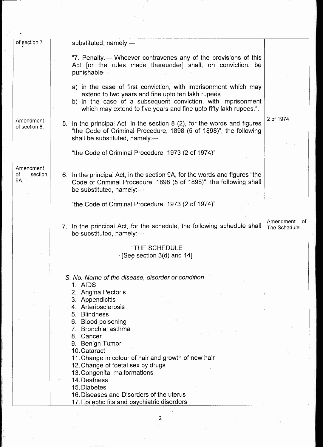| of section 7                      | substituted, namely:-                                                                                                                                                                                                                                      |                                  |
|-----------------------------------|------------------------------------------------------------------------------------------------------------------------------------------------------------------------------------------------------------------------------------------------------------|----------------------------------|
|                                   | "7. Penalty.— Whoever contravenes any of the provisions of this<br>Act [or the rules made thereunder] shall, on conviction, be<br>punishable-                                                                                                              |                                  |
|                                   | a) in the case of first conviction, with imprisonment which may<br>extend to two years and fine upto ten lakh rupees.<br>b) in the case of a subsequent conviction, with imprisonment<br>which may extend to five years and fine upto fifty lakh rupees.". |                                  |
| Amendment<br>of section 8.        | 5. In the principal Act, in the section 8 (2), for the words and figures<br>"the Code of Criminal Procedure, 1898 (5 of 1898)", the following<br>shall be substituted, namely:-                                                                            | 2 of 1974                        |
|                                   | "the Code of Criminal Procedure, 1973 (2 of 1974)"                                                                                                                                                                                                         |                                  |
| Amendment<br>of<br>section<br>9A. | 6. In the principal Act, in the section 9A, for the words and figures "the<br>Code of Criminal Procedure, 1898 (5 of 1898)", the following shall<br>be substituted, namely:-                                                                               |                                  |
|                                   | "the Code of Criminal Procedure, 1973 (2 of 1974)"                                                                                                                                                                                                         |                                  |
|                                   | 7. In the principal Act, for the schedule, the following schedule shall<br>be substituted, namely:-                                                                                                                                                        | Amendment<br>0f.<br>The Schedule |
|                                   | "THE SCHEDULE<br>See section 3(d) and 14]                                                                                                                                                                                                                  |                                  |
|                                   | S. No. Name of the disease, disorder or condition<br>1. AIDS<br>2. Angina Pectoris<br>3. Appendicitis<br>4. Arteriosclerosis<br>5. Blindness                                                                                                               |                                  |
|                                   | 6. Blood poisoning<br>7. Bronchial asthma<br>8. Cancer                                                                                                                                                                                                     |                                  |
|                                   | 9. Benign Tumor<br>10. Cataract<br>11. Change in colour of hair and growth of new hair<br>12. Change of foetal sex by drugs<br>13. Congenital malformations                                                                                                |                                  |
|                                   | 14. Deafness<br>15. Diabetes<br>16. Diseases and Disorders of the uterus<br>17. Epileptic fits and psychiatric disorders                                                                                                                                   |                                  |

 $\langle \bar{\epsilon}$ 

T

 $\mathcal{P}_{\mathcal{C}}$ 

in<br>G

 $\frac{2}{2}$ 

 $\overline{\phantom{a}}$ 

 $\label{eq:3.1} \begin{array}{ccccc} \omega & & & 1 & & \\ & \omega & & & \end{array}$ 

:eb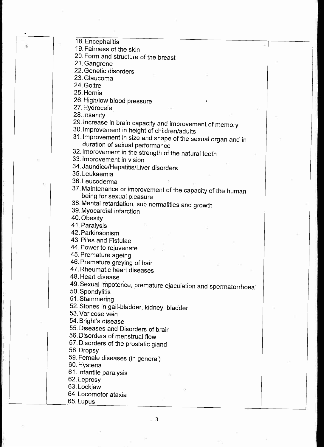18. Encephalitis 19. Fairness of the skin 20. Form and structure of the breast 21. Gangrene 22. Genetic disorders 23. Glaucoma 24. Goitre 25. Hernia 26. High/low blood pressure 27. Hydrocele 28. Insanity 29. Increase in brain capacity and improvement of memory 30. Improvement in height of children/adults 31. Improvement in size and shape of the sexual organ and in duration of sexual performance 32. Improvement in the strength of the natural teeth 33. Improvement in vision 34. Jaundice/Hepatitis/Liver disorders 35. Leukaemia 36.Leucoderma 37. Maintenance or improvement of the capacity of the human being for sexual pleasure 38. Mental retardation, sub normalities and growth 39.Myocardial infarction 40. Obesity 41. Paralysis 42. Parkinsonism 43. Piles and Fistulae 44. Power to rejuvenate 45. Premature ageing 46. Premature greying of hair 47. Rheumatic heart diseases 48. Heart disease 49. Sexual impotence, premature ejaculation and spermatorrhoea 50.Spondylitis 51. Stammering 52. Stones in gall-bladder, kidney, bladder 53. Varicose vein 54.Bright's disease 55. Diseases and Disorders of brain 56. Disorders of menstrual flow 57. Disorders of the prostatic gland 58. Dropsy 59. Female diseases (in general) 60. Hysteria 61. Infantile paralysis 62. Leprosy 63. Lockjaw 64. Locomotor ataxia 65.Lupus

. 3